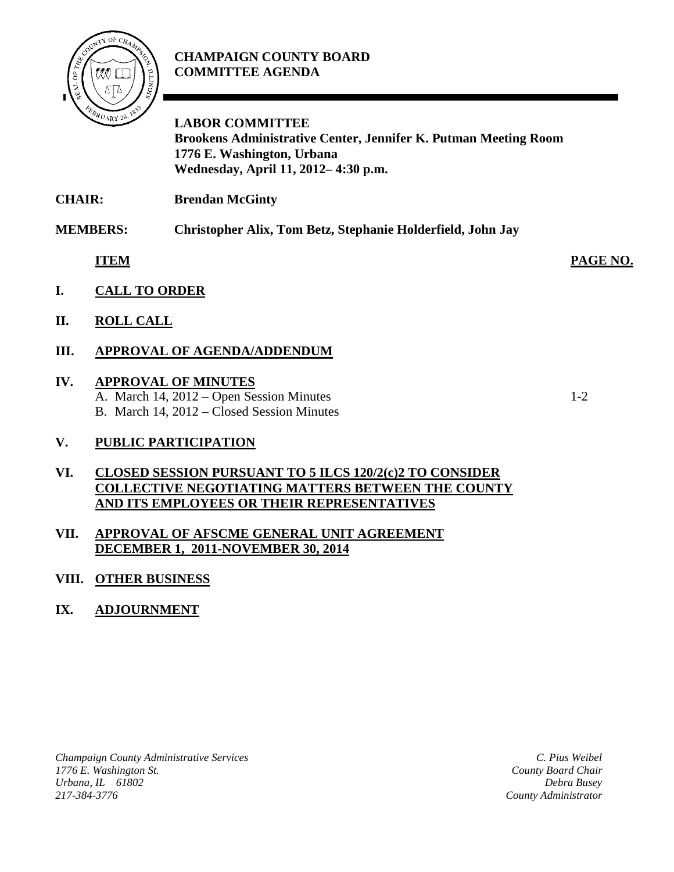

# **CHAMPAIGN COUNTY BOARD COMMITTEE AGENDA**

**LABOR COMMITTEE Brookens Administrative Center, Jennifer K. Putman Meeting Room 1776 E. Washington, Urbana Wednesday, April 11, 2012– 4:30 p.m.**

**CHAIR: Brendan McGinty**

**MEMBERS: Christopher Alix, Tom Betz, Stephanie Holderfield, John Jay**

**ITEM PAGE NO.**

- **I. CALL TO ORDER**
- **II. ROLL CALL**
- **III. APPROVAL OF AGENDA/ADDENDUM**

# **IV. APPROVAL OF MINUTES**

A. March 14, 2012 – Open Session Minutes 1-2 B. March 14, 2012 – Closed Session Minutes

# **V. PUBLIC PARTICIPATION**

#### **VI. CLOSED SESSION PURSUANT TO 5 ILCS 120/2(c)2 TO CONSIDER COLLECTIVE NEGOTIATING MATTERS BETWEEN THE COUNTY AND ITS EMPLOYEES OR THEIR REPRESENTATIVES**

#### **VII. APPROVAL OF AFSCME GENERAL UNIT AGREEMENT DECEMBER 1, 2011-NOVEMBER 30, 2014**

# **VIII. OTHER BUSINESS**

# **IX. ADJOURNMENT**

*Champaign County Administrative Services 1776 E. Washington St. Urbana, IL 61802 217-384-3776*

*C. Pius Weibel County Board Chair Debra Busey County Administrator*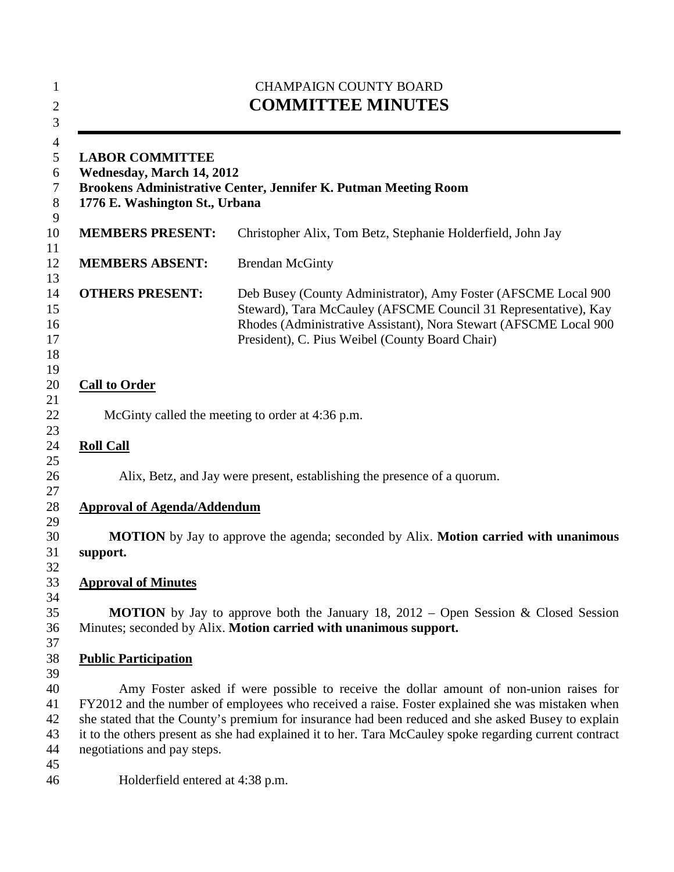| <b>CHAMPAIGN COUNTY BOARD</b><br><b>COMMITTEE MINUTES</b><br><b>LABOR COMMITTEE</b><br>Wednesday, March 14, 2012<br>Brookens Administrative Center, Jennifer K. Putman Meeting Room<br>1776 E. Washington St., Urbana |                                                                                                                                                                                                                                                                                                                                                                                                            |
|-----------------------------------------------------------------------------------------------------------------------------------------------------------------------------------------------------------------------|------------------------------------------------------------------------------------------------------------------------------------------------------------------------------------------------------------------------------------------------------------------------------------------------------------------------------------------------------------------------------------------------------------|
|                                                                                                                                                                                                                       |                                                                                                                                                                                                                                                                                                                                                                                                            |
| <b>MEMBERS ABSENT:</b>                                                                                                                                                                                                | <b>Brendan McGinty</b>                                                                                                                                                                                                                                                                                                                                                                                     |
| <b>OTHERS PRESENT:</b>                                                                                                                                                                                                | Deb Busey (County Administrator), Amy Foster (AFSCME Local 900<br>Steward), Tara McCauley (AFSCME Council 31 Representative), Kay<br>Rhodes (Administrative Assistant), Nora Stewart (AFSCME Local 900<br>President), C. Pius Weibel (County Board Chair)                                                                                                                                                  |
| <b>Call to Order</b>                                                                                                                                                                                                  |                                                                                                                                                                                                                                                                                                                                                                                                            |
|                                                                                                                                                                                                                       | McGinty called the meeting to order at 4:36 p.m.                                                                                                                                                                                                                                                                                                                                                           |
| <b>Roll Call</b>                                                                                                                                                                                                      |                                                                                                                                                                                                                                                                                                                                                                                                            |
|                                                                                                                                                                                                                       | Alix, Betz, and Jay were present, establishing the presence of a quorum.                                                                                                                                                                                                                                                                                                                                   |
| <b>Approval of Agenda/Addendum</b>                                                                                                                                                                                    |                                                                                                                                                                                                                                                                                                                                                                                                            |
| support.                                                                                                                                                                                                              | MOTION by Jay to approve the agenda; seconded by Alix. Motion carried with unanimous                                                                                                                                                                                                                                                                                                                       |
| <b>Approval of Minutes</b>                                                                                                                                                                                            |                                                                                                                                                                                                                                                                                                                                                                                                            |
|                                                                                                                                                                                                                       | <b>MOTION</b> by Jay to approve both the January 18, 2012 – Open Session & Closed Session<br>Minutes; seconded by Alix. Motion carried with unanimous support.                                                                                                                                                                                                                                             |
| <b>Public Participation</b>                                                                                                                                                                                           |                                                                                                                                                                                                                                                                                                                                                                                                            |
| negotiations and pay steps.                                                                                                                                                                                           | Amy Foster asked if were possible to receive the dollar amount of non-union raises for<br>FY2012 and the number of employees who received a raise. Foster explained she was mistaken when<br>she stated that the County's premium for insurance had been reduced and she asked Busey to explain<br>it to the others present as she had explained it to her. Tara McCauley spoke regarding current contract |
| Holderfield entered at 4:38 p.m.                                                                                                                                                                                      |                                                                                                                                                                                                                                                                                                                                                                                                            |